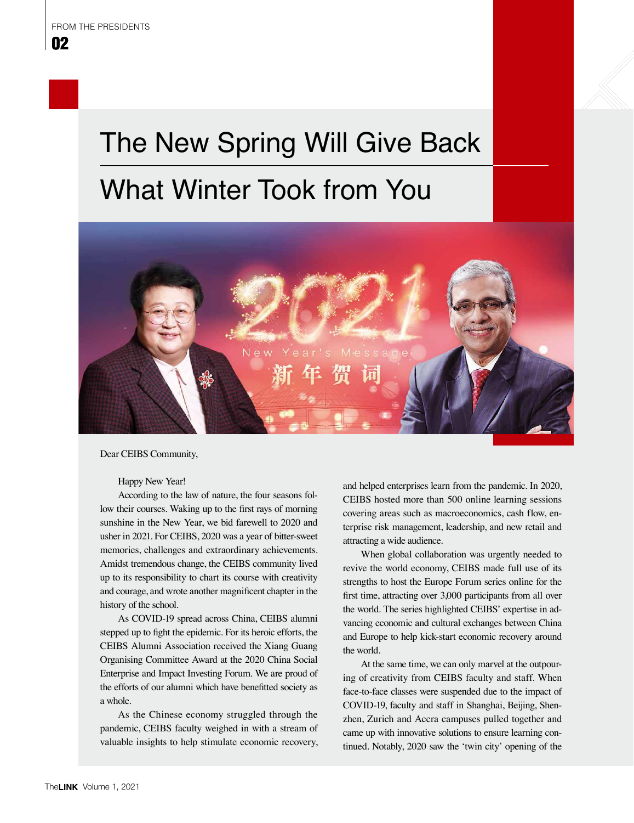## The New Spring Will Give Back What Winter Took from You



Dear CEIBS Community,

Happy New Year!

According to the law of nature, the four seasons follow their courses. Waking up to the first rays of morning sunshine in the New Year, we bid farewell to 2020 and usher in 2021. For CEIBS, 2020 was a year of bitter-sweet memories, challenges and extraordinary achievements. Amidst tremendous change, the CEIBS community lived up to its responsibility to chart its course with creativity and courage, and wrote another magnificent chapter in the history of the school.

As COVID-19 spread across China, CEIBS alumni stepped up to fight the epidemic. For its heroic efforts, the CEIBS Alumni Association received the Xiang Guang Organising Committee Award at the 2020 China Social Enterprise and Impact Investing Forum. We are proud of the efforts of our alumni which have benefitted society as a whole.

As the Chinese economy struggled through the pandemic, CEIBS faculty weighed in with a stream of valuable insights to help stimulate economic recovery, and helped enterprises learn from the pandemic. In 2020, CEIBS hosted more than 500 online learning sessions covering areas such as macroeconomics, cash flow, enterprise risk management, leadership, and new retail and attracting a wide audience.

When global collaboration was urgently needed to revive the world economy, CEIBS made full use of its strengths to host the Europe Forum series online for the first time, attracting over 3,000 participants from all over the world. The series highlighted CEIBS' expertise in advancing economic and cultural exchanges between China and Europe to help kick-start economic recovery around the world.

At the same time, we can only marvel at the outpouring of creativity from CEIBS faculty and staff. When face-to-face classes were suspended due to the impact of COVID-19, faculty and staff in Shanghai, Beijing, Shenzhen, Zurich and Accra campuses pulled together and came up with innovative solutions to ensure learning continued. Notably, 2020 saw the 'twin city' opening of the